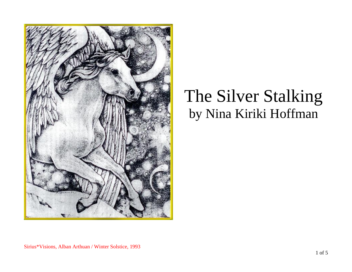

## The Silver Stalking by Nina Kiriki Hoffman

Sirius\*Visions, Alban Arthuan / Winter Solstice, 1993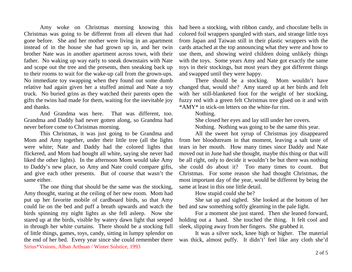Amy woke on Christmas morning knowing this Christmas was going to be different from all eleven that had gone before. She and her mother were living in an apartment instead of in the house she had grown up in, and her twin brother Nate was in another apartment across town, with their father. No waking up way early to sneak downstairs with Nate and scope out the tree and the presents, then sneaking back up to their rooms to wait for the wake-up call from the grown-ups. No immediate toy swapping when they found out some dumb relative had again given her a stuffed animal and Nate a toy truck. No buried grins as they watched their parents open the gifts the twins had made for them, waiting for the inevitable joy and thanks.

And Grandma was here. That was different, too. Grandma and Daddy had never gotten along, so Grandma had never before come to Christmas morning.

This Christmas, it was just going to be Grandma and Mom and Amy together, under their little tree (all the lights were white; Nate and Daddy had the colored lights that flickered, and Mom had bought all white, saying she never had liked the other lights). In the afternoon Mom would take Amy to Daddy's new place, so Amy and Nate could compare gifts, and give each other presents. But of course that wasn't the same either.

Sirius\*Visions, Alban Arthuan / Winter Solstice, 1993 The one thing that should be the same was the stocking, Amy thought, staring at the ceiling of her new room. Mom had put up her favorite mobile of cardboard birds, so that Amy could lie on the bed and puff a breath upwards and watch the birds spinning my night lights as she fell asleep. Now she stared up at the birds, visible by watery dawn light that seeped in through her white curtains. There should be a stocking full of little things, games, toys, candy, sitting in lumpy splendor on the end of her bed. Every year since she could remember there had been a stocking, with ribbon candy, and chocolate bells in colored foil wrappers spangled with stars, and strange little toys from Japan and Taiwan still in their plastic wrappers with the cards attached at the top announcing what they were and how to use them, and showing weird children doing unlikely things with the toys. Some years Amy and Nate got exactly the same toys in their stockings, but most years they got different things and swapped until they were happy.

There should be a stocking. Mom wouldn't have changed that, would she? Amy stared up at her birds and felt with her still-blanketed foot for the weight of her stocking, fuzzy red with a green felt Christmas tree glued on it and with \*AMY\* in stick-on letters on the white-fur rim.

Nothing.

She closed her eyes and lay still under her covers.

Nothing. Nothing was going to be the same this year.

All the sweet hot syrup of Christmas joy disappeared from her bloodstream in that moment, leaving a salt taste of tears in her mouth. How many times since Daddy and Nate moved out in June had she thought, maybe this thing or that will be all right, only to decide it wouldn't be but there was nothing she could do about it? Too many times to count. But Christmas. For some reason she had thought Christmas, the most important day of the year, would be different by being the same at least in this one little detail.

How stupid could she be?

She sat up and sighed. She looked at the bottom of her bed and saw something softly gleaming in the pale light.

For a moment she just stared. Then she leaned forward, holding out a hand. She touched the thing. It felt cool and sleek, slipping away from her fingers. She grabbed it.

It was a silver sock, knee high or higher. The material was thick, almost puffy. It didn't' feel like any cloth she'd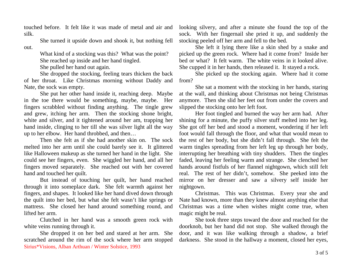touched before. It felt like it was made of metal and air and silk.

She turned it upside down and shook it, but nothing fell out.

> What kind of a stocking was this? What was the point? She reached up inside and her hand tingled.

She pulled her hand out again.

She dropped the stocking, feeling tears thicken the back of her throat. Like Christmas morning without Daddy and Nate, the sock was empty.

She put her other hand inside it, reaching deep. Maybe in the toe there would be something, maybe, maybe. Her fingers scrabbled without finding anything. The tingle grew and grew, itching her arm. Then the stocking shone bright, white and silver, and it tightened around her am, trapping her hand inside, clinging to her till she was silver light all the way up to her elbow. Her hand throbbed, and then…

Then she felt as if she had another skin on. The sock melted into her arm until she could barely see it. It glittered like Halloween makeup as she turned her hand in the light. She could see her fingers, even. She wiggled her hand, and all her fingers moved separately. She reached out with her covered hand and touched her quilt.

But instead of touching her quilt, her hand reached through it into someplace dark. She felt warmth against her fingers, and shapes. It looked like her hand dived down through the quilt into her bed, but what she felt wasn't like springs or mattress. She closed her hand around something round, and lifted her arm.

Clutched in her hand was a smooth green rock with white veins running through it.

Sirius\*Visions, Alban Arthuan / Winter Solstice, 1993 She dropped it on her bed and stared at her arm. She scratched around the rim of the sock where her arm stopped looking silvery, and after a minute she found the top of the sock. With her fingernail she pried it up, and suddenly the stocking peeled off her arm and fell to the bed.

She left it lying there like a skin shed by a snake and picked up the green rock. Where had it come from? Inside her bed or what? It felt warm. The white veins in it looked alive. She cupped it in her hands, then released it. It stayed a rock.

She picked up the stocking again. Where had it come from?

She sat a moment with the stocking in her hands, staring at the wall, and thinking about Christmas not being Christmas anymore. Then she slid her feet out from under the covers and slipped the stocking onto her left foot.

Her foot tingled and burned the way her arm had. After shining for a minute, the puffy silver stuff melted into her leg. She got off her bed and stood a moment, wondering if her left foot would fall through the floor, and what that would mean to the rest of her body, but she didn't fall through. She felt the warm tingles spreading from her left leg up through her body, interrupting her breathing with tiny shudders. Then the tingles faded, leaving her feeling warm and strange. She clenched her hands around fistfuls of her flannel nightgown, which still felt real. The rest of her didn't, somehow. She peeked into the mirror on her dresser and saw a silvery self inside her nightgown.

Christmas. This was Christmas. Every year she and Nate had known, more than they knew almost anything else that Christmas was a time when wishes might come true, when magic might be real.

She took three steps toward the door and reached for the doorknob, but her hand did not stop. She walked through the door, and it was like walking through a shadow, a brief darkness. She stood in the hallway a moment, closed her eyes,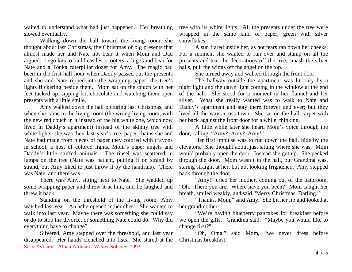waited to understand what had just happened. Her breathing slowed eventually.

Walking down the hall toward the living room, she thought about last Christmas, the Christmas of big presents that almost made her and Nate not bear it when Mom and Dad argued. Lego kits to build castles, scooters, a big Gund bear for Nate and a Tonka caterpillar dozer for Amy. The magic bad been in the first half hour when Daddy passed out the presents and she and Nate ripped into the wrapping paper, the tree's lights flickering beside them. Mom sat on the couch with her feet tucked up, sipping hot chocolate and watching them open presents with a little smile.

Amy walked down the hall picturing last Christmas, and when she came to the living room (the wrong living room, with the new red couch in it instead of the big white one, which now lived in Daddy's apartment) instead of the skinny tree with white lights, she was their last-year's tree, paper chains she and Nate had made from pieces of paper they colored with crayons in school, a host of colored lights, Mom's paper angels and Daddy's little stuffed animals. The tinsel was scattered in lumps on the tree (Nate was patient, putting it on strand by strand, but Amy liked to just throw it by the handfuls). There was Nate, and there was –

There was Amy, sitting next to Nate. She wadded up some wrapping paper and threw it at him, and he laughed and threw it back.

Standing on the threshold of the living room, Amy watched last year. An ache opened in her chest. She wanted to walk into last year. Maybe there was something she could say or do to stop the divorce, or something Nate could do. Why did everything have to change?

Sirius\*Visions, Alban Arthuan / Winter Solstice, 1993 Silvered, Amy stepped over the threshold, and last year disappeared. Her hands clenched into fists. She stared at the tree with its white lights. All the presents under the tree were wrapped in the same kind of paper, green with silver snowflakes.

A sun flared inside her, as hot tears ran down her cheeks. For a moment she wanted to run over and stamp on all the presents and tear the decorations off the tree, smash the silver balls, pull the wings off the angel on the top.

She turned away and walked through the front door.

The hallway outside the apartment was lit only by a night light and the dawn light coming in the window at the end of the hall. She stood for a moment in her flannel and her silver. What she really wanted was to walk to Nate and Daddy's apartment and stay there forever and ever; but they lived all the way across town. She sat on the hall carpet with her back against the front door for a while, thinking.

A little while later she heard Mom's voice through the door, calling, "Amy? Amy? Amy!"

Her first impulse was to run down the hall, hide by the elevators. She thought about just sitting where she was. Mom would probably open the door. Instead she got up. She peeked through the door. Mom wasn't in the hall, but Grandma was, staring straight at her, but not looking frightened. Amy stepped back through the door.

"Amy!" cried her mother, coming out of the bathroom. "Oh. There you are. Where have you been?" Mom caught her breath, smiled weakly, and said "Merry Christmas, Darling."

"Thanks, Mom," said Amy. She bit her lip and looked at her grandmother.

"We're having blueberry pancakes for breakfast before we open the gifts," Grandma said. "Maybe you would like to change first?"

"Oh, Oma," said Mom, "we never dress before Christmas breakfast!"